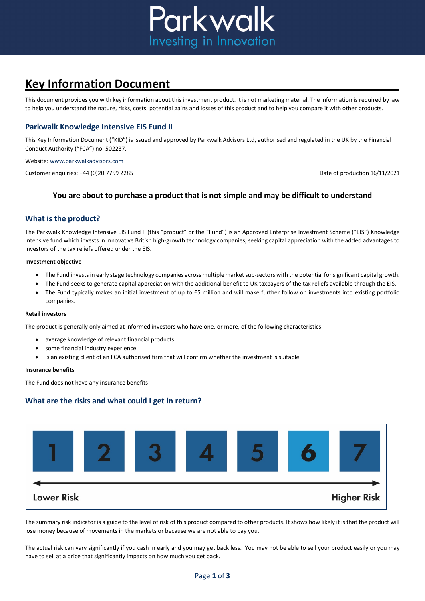

# **Key Information Document**

This document provides you with key information about this investment product. It is not marketing material. The information is required by law to help you understand the nature, risks, costs, potential gains and losses of this product and to help you compare it with other products.

# **Parkwalk Knowledge Intensive EIS Fund II**

This Key Information Document ("KID") is issued and approved by Parkwalk Advisors Ltd, authorised and regulated in the UK by the Financial Conduct Authority ("FCA") no. 502237.

Website: www.parkwalkadvisors.com

Customer enquiries: +44 (0)20 7759 2285 Customer enquiries: +44 (0)20 7759 2285

## **You are about to purchase a product that is not simple and may be difficult to understand**

## **What is the product?**

The Parkwalk Knowledge Intensive EIS Fund II (this "product" or the "Fund") is an Approved Enterprise Investment Scheme ("EIS") Knowledge Intensive fund which invests in innovative British high-growth technology companies, seeking capital appreciation with the added advantages to investors of the tax reliefs offered under the EIS.

#### **Investment objective**

- The Fund invests in early stage technology companies across multiple market sub-sectors with the potential for significant capital growth.
- The Fund seeks to generate capital appreciation with the additional benefit to UK taxpayers of the tax reliefs available through the EIS.
- The Fund typically makes an initial investment of up to £5 million and will make further follow on investments into existing portfolio companies.

#### **Retail investors**

The product is generally only aimed at informed investors who have one, or more, of the following characteristics:

- average knowledge of relevant financial products
- some financial industry experience
- is an existing client of an FCA authorised firm that will confirm whether the investment is suitable

#### **Insurance benefits**

The Fund does not have any insurance benefits

# **What are the risks and what could I get in return?**



The summary risk indicator is a guide to the level of risk of this product compared to other products. It shows how likely it is that the product will lose money because of movements in the markets or because we are not able to pay you.

The actual risk can vary significantly if you cash in early and you may get back less. You may not be able to sell your product easily or you may have to sell at a price that significantly impacts on how much you get back.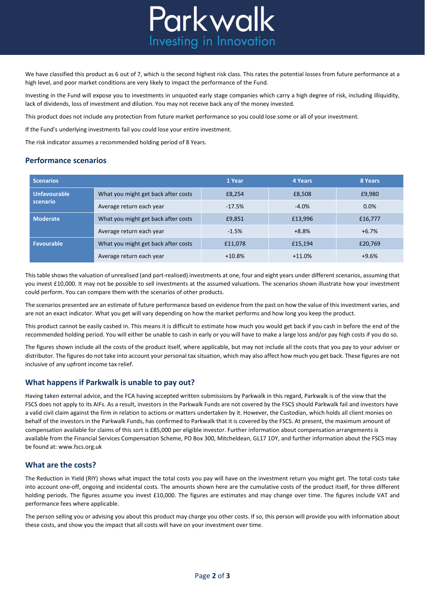

We have classified this product as 6 out of 7, which is the second highest risk class. This rates the potential losses from future performance at a high level, and poor market conditions are very likely to impact the performance of the Fund.

Investing in the Fund will expose you to investments in unquoted early stage companies which carry a high degree of risk, including illiquidity, lack of dividends, loss of investment and dilution. You may not receive back any of the money invested.

This product does not include any protection from future market performance so you could lose some or all of your investment.

If the Fund's underlying investments fail you could lose your entire investment.

The risk indicator assumes a recommended holding period of 8 Years.

#### **Performance scenarios**

| <b>Scenarios</b>                |                                     | 1 Year   | 4 Years  | 8 Years |
|---------------------------------|-------------------------------------|----------|----------|---------|
| <b>Unfavourable</b><br>scenario | What you might get back after costs | £8.254   | £8.508   | £9,980  |
|                                 | Average return each year            | $-17.5%$ | $-4.0%$  | 0.0%    |
| <b>Moderate</b>                 | What you might get back after costs | £9,851   | £13,996  | £16,777 |
|                                 | Average return each year            | $-1.5%$  | $+8.8%$  | $+6.7%$ |
| <b>Favourable</b>               | What you might get back after costs | £11,078  | £15,194  | £20,769 |
|                                 | Average return each year            | $+10.8%$ | $+11.0%$ | $+9.6%$ |

This table shows the valuation of unrealised (and part-realised) investments at one, four and eight years under different scenarios, assuming that you invest £10,000. It may not be possible to sell investments at the assumed valuations. The scenarios shown illustrate how your investment could perform. You can compare them with the scenarios of other products.

The scenarios presented are an estimate of future performance based on evidence from the past on how the value of this investment varies, and are not an exact indicator. What you get will vary depending on how the market performs and how long you keep the product.

This product cannot be easily cashed in. This means it is difficult to estimate how much you would get back if you cash in before the end of the recommended holding period. You will either be unable to cash in early or you will have to make a large loss and/or pay high costs if you do so.

The figures shown include all the costs of the product itself, where applicable, but may not include all the costs that you pay to your adviser or distributor. The figures do not take into account your personal tax situation, which may also affect how much you get back. These figures are not inclusive of any upfront income tax relief.

## **What happens if Parkwalk is unable to pay out?**

Having taken external advice, and the FCA having accepted written submissions by Parkwalk in this regard, Parkwalk is of the view that the FSCS does not apply to its AIFs. As a result, investors in the Parkwalk Funds are not covered by the FSCS should Parkwalk fail and investors have a valid civil claim against the firm in relation to actions or matters undertaken by it. However, the Custodian, which holds all client monies on behalf of the investors in the Parkwalk Funds, has confirmed to Parkwalk that it is covered by the FSCS. At present, the maximum amount of compensation available for claims of this sort is £85,000 per eligible investor. Further information about compensation arrangements is available from the Financial Services Compensation Scheme, PO Box 300, Mitcheldean, GL17 1DY, and further information about the FSCS may be found at: www.fscs.org.uk

## **What are the costs?**

The Reduction in Yield (RIY) shows what impact the total costs you pay will have on the investment return you might get. The total costs take into account one-off, ongoing and incidental costs. The amounts shown here are the cumulative costs of the product itself, for three different holding periods. The figures assume you invest £10,000. The figures are estimates and may change over time. The figures include VAT and performance fees where applicable.

The person selling you or advising you about this product may charge you other costs. If so, this person will provide you with information about these costs, and show you the impact that all costs will have on your investment over time.